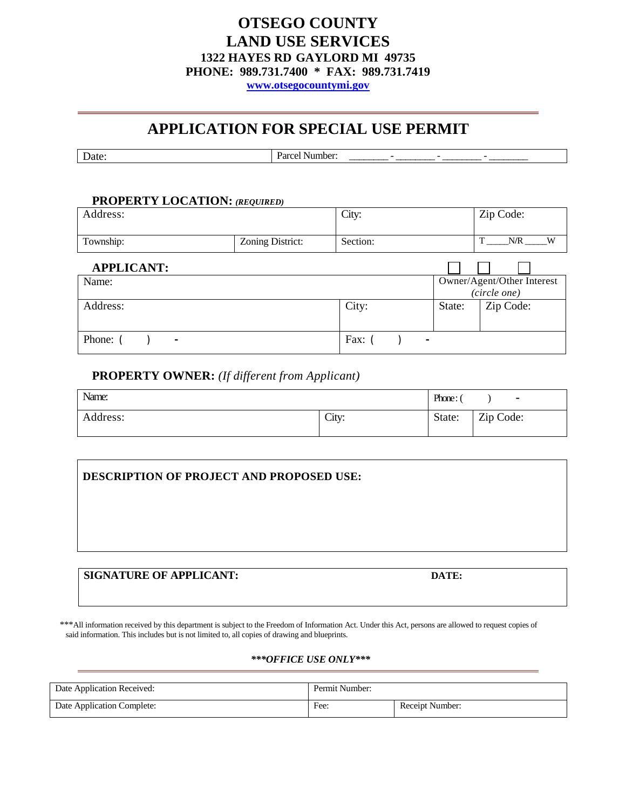# **OTSEGO COUNTY LAND USE SERVICES 1322 HAYES RD GAYLORD MI 49735 PHONE: 989.731.7400 \* FAX: 989.731.7419**

**[www.otsegocountymi.gov](http://www.otsegocountymi.gov/)**

# **APPLICATION FOR SPECIAL USE PERMIT**

| Date<br>_ …… | . |
|--------------|---|

## **PROPERTY LOCATION:** *(REQUIRED)*

| Address:          |                  | City:    |                | Zip Code:                  |
|-------------------|------------------|----------|----------------|----------------------------|
| Township:         | Zoning District: | Section: |                | T<br>N/R<br>W              |
| <b>APPLICANT:</b> |                  |          |                |                            |
| Name:             |                  |          |                | Owner/Agent/Other Interest |
|                   |                  |          |                | (circle one)               |
| Address:          |                  | City:    | State:         | Zip Code:                  |
| Phone:<br>۰       |                  | Fax:     | $\blacksquare$ |                            |

## **PROPERTY OWNER:** *(If different from Applicant)*

| Name:    |       | Phone: | $\blacksquare$ |
|----------|-------|--------|----------------|
| Address: | City: | State: | Zip Code:      |

| DESCRIPTION OF PROJECT AND PROPOSED USE: |       |  |  |
|------------------------------------------|-------|--|--|
|                                          |       |  |  |
|                                          |       |  |  |
|                                          |       |  |  |
| <b>SIGNATURE OF APPLICANT:</b>           | DATE: |  |  |

\*\*\*All information received by this department is subject to the Freedom of Information Act. Under this Act, persons are allowed to request copies of said information. This includes but is not limited to, all copies of drawing and blueprints.

## *\*\*\*OFFICE USE ONLY\*\*\**

<span id="page-0-0"></span>

| Date Application Received: | Permit Number: |                 |
|----------------------------|----------------|-----------------|
| Date Application Complete: | Fee:           | Receipt Number: |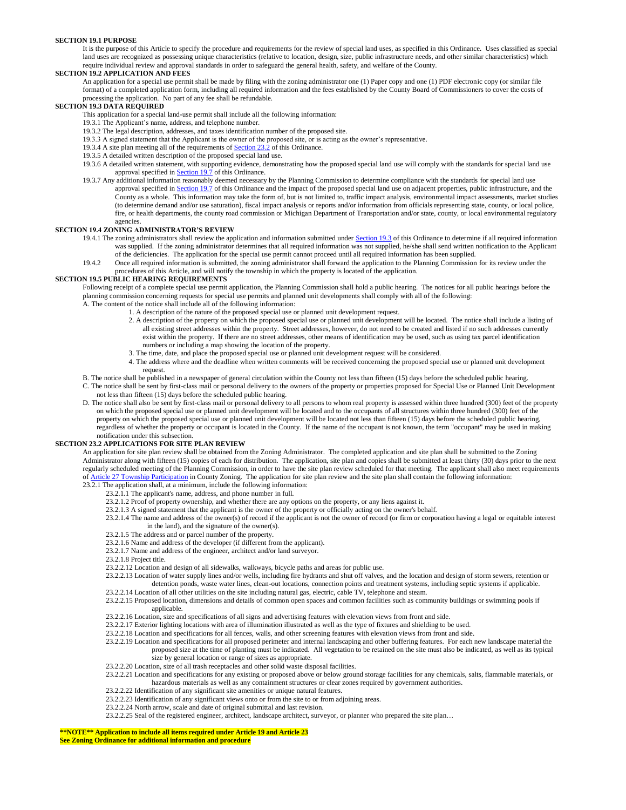### **SECTION 19.1 PURPOSE**

It is the purpose of this Article to specify the procedure and requirements for the review of special land uses, as specified in this Ordinance. Uses classified as special land uses are recognized as possessing unique characteristics (relative to location, design, size, public infrastructure needs, and other similar characteristics) which require individual review and approval standards in order to safeguard the general health, safety, and welfare of the County.

### **SECTION 19.2 APPLICATION AND FEES**

An application for a special use permit shall be made by filing with the zoning administrator one (1) Paper copy and one (1) PDF electronic copy (or similar file format) of a completed application form, including all required information and the fees established by the County Board of Commissioners to cover the costs of processing the application. No part of any fee shall be refundable.

### **SECTION 19.3 DATA REQUIRED**

- This application for a special land-use permit shall include all the following information:
- 19.3.1 The Applicant's name, address, and telephone number.
- 19.3.2 The legal description, addresses, and taxes identification number of the proposed site.
- 19.3.3 A signed statement that the Applicant is the owner of the proposed site, or is acting as the owner's representative.
- 19.3.4 A site plan meeting all of the requirements of **Section 23.2** of this Ordinance.
- 19.3.5 A detailed written description of the proposed special land use.
- 19.3.6 A detailed written statement, with supporting evidence, demonstrating how the proposed special land use will comply with the standards for special land use approval specified in Section 19.7 of this Ordinance.
- 19.3.7 Any additional information reasonably deemed necessary by the Planning Commission to determine compliance with the standards for special land use approval specified in Section 19.7 of this Ordinance and the impact of the proposed special land use on adjacent properties, public infrastructure, and the County as a whole. This information may take the form of, but is not limited to, traffic impact analysis, environmental impact assessments, market studies (to determine demand and/or use saturation), fiscal impact analysis or reports and/or information from officials representing state, county, or local police, fire, or health departments, the county road commission or Michigan Department of Transportation and/or state, county, or local environmental regulatory agencies.

### **SECTION 19.4 ZONING ADMINISTRATOR'S REVIEW**

- 19.4.1 The zoning administrators shall review the application and information submitted under [Section 19.3 o](#page-0-0)f this Ordinance to determine if all required information was supplied. If the zoning administrator determines that all required information was not supplied, he/she shall send written notification to the Applicant of the deficiencies. The application for the special use permit cannot proceed until all required information has been supplied.
- 19.4.2 Once all required information is submitted, the zoning administrator shall forward the application to the Planning Commission for its review under the procedures of this Article, and will notify the township in which the property is located of the application.

#### **SECTION 19.5 PUBLIC HEARING REQUIREMENTS**

Following receipt of a complete special use permit application, the Planning Commission shall hold a public hearing. The notices for all public hearings before the planning commission concerning requests for special use permits and planned unit developments shall comply with all of the following: A. The content of the notice shall include all of the following information:

- 1. A description of the nature of the proposed special use or planned unit development request.
- 2. A description of the property on which the proposed special use or planned unit development will be located. The notice shall include a listing of all existing street addresses within the property. Street addresses, however, do not need to be created and listed if no such addresses currently exist within the property. If there are no street addresses, other means of identification may be used, such as using tax parcel identification numbers or including a map showing the location of the property.
- 3. The time, date, and place the proposed special use or planned unit development request will be considered.
- <span id="page-1-0"></span>4. The address where and the deadline when written comments will be received concerning the proposed special use or planned unit development request.

B. The notice shall be published in a newspaper of general circulation within the County not less than fifteen (15) days before the scheduled public hearing.

- C. The notice shall be sent by first-class mail or personal delivery to the owners of the property or properties proposed for Special Use or Planned Unit Development not less than fifteen (15) days before the scheduled public hearing.
- D. The notice shall also be sent by first-class mail or personal delivery to all persons to whom real property is assessed within three hundred (300) feet of the property on which the proposed special use or planned unit development will be located and to the occupants of all structures within three hundred (300) feet of the property on which the proposed special use or planned unit development will be located not less than fifteen (15) days before the scheduled public hearing, regardless of whether the property or occupant is located in the County. If the name of the occupant is not known, the term "occupant" may be used in making notification under this subsection.

### **SECTION 23.2 APPLICATIONS FOR SITE PLAN REVIEW**

An application for site plan review shall be obtained from the Zoning Administrator. The completed application and site plan shall be submitted to the Zoning Administrator along with fifteen (15) copies of each for distribution. The application, site plan and copies shall be submitted at least thirty (30) days prior to the next regularly scheduled meeting of the Planning Commission, in order to have the site plan review scheduled for that meeting. The applicant shall also meet requirements of Article 27 Township Participation in County Zoning. The application for site plan review and the site plan shall contain the following information: 23.2.1 The application shall, at a minimum, include the following information:

- 23.2.1.1 The applicant's name, address, and phone number in full.
- 23.2.1.2 Proof of property ownership, and whether there are any options on the property, or any liens against it.
- 23.2.1.3 A signed statement that the applicant is the owner of the property or officially acting on the owner's behalf.
- 23.2.1.4 The name and address of the owner(s) of record if the applicant is not the owner of record (or firm or corporation having a legal or equitable interest in the land), and the signature of the owner(s).
- 23.2.1.5 The address and or parcel number of the property.
- 23.2.1.6 Name and address of the developer (if different from the applicant).
- 23.2.1.7 Name and address of the engineer, architect and/or land surveyor.
- 23.2.1.8 Project title.
- 23.2.2.12 Location and design of all sidewalks, walkways, bicycle paths and areas for public use.
- 23.2.2.13 Location of water supply lines and/or wells, including fire hydrants and shut off valves, and the location and design of storm sewers, retention or detention ponds, waste water lines, clean-out locations, connection points and treatment systems, including septic systems if applicable.
- 23.2.2.14 Location of all other utilities on the site including natural gas, electric, cable TV, telephone and steam.
- 23.2.2.15 Proposed location, dimensions and details of common open spaces and common facilities such as community buildings or swimming pools if applicable.
- 23.2.2.16 Location, size and specifications of all signs and advertising features with elevation views from front and side.
- 23.2.2.17 Exterior lighting locations with area of illumination illustrated as well as the type of fixtures and shielding to be used.
- 23.2.2.18 Location and specifications for all fences, walls, and other screening features with elevation views from front and side.
- 23.2.2.19 Location and specifications for all proposed perimeter and internal landscaping and other buffering features. For each new landscape material the proposed size at the time of planting must be indicated. All vegetation to be retained on the site must also be indicated, as well as its typical size by general location or range of sizes as appropriate.
- 23.2.2.20 Location, size of all trash receptacles and other solid waste disposal facilities.
- 23.2.2.21 Location and specifications for any existing or proposed above or below ground storage facilities for any chemicals, salts, flammable materials, or hazardous materials as well as any containment structures or clear zones required by government authorities.
- 23.2.2.22 Identification of any significant site amenities or unique natural features.
- 23.2.2.23 Identification of any significant views onto or from the site to or from adjoining areas.
- 23.2.2.24 North arrow, scale and date of original submittal and last revision.
- 23.2.2.25 Seal of the registered engineer, architect, landscape architect, surveyor, or planner who prepared the site plan...

## **\*\*NOTE\*\* Application to include all items required under Article 19 and Article 23**